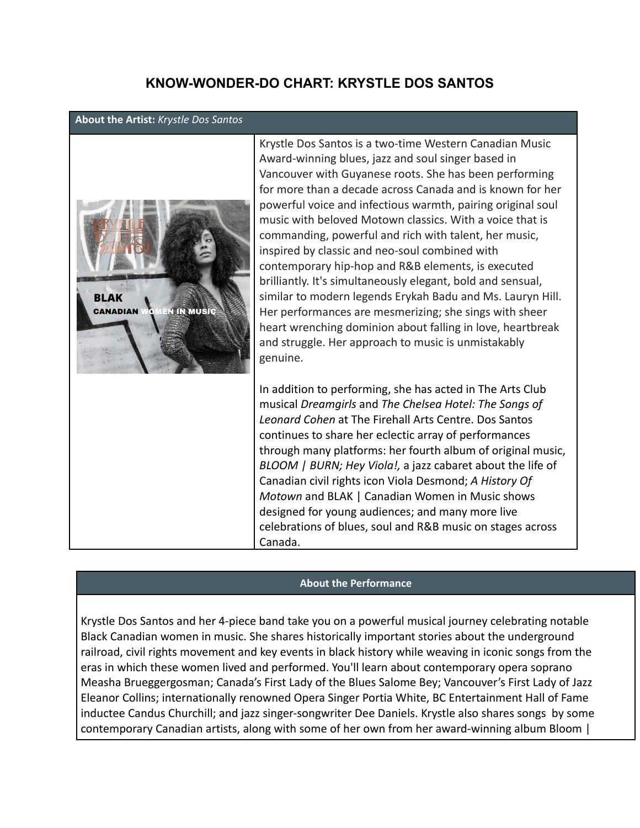## **KNOW-WONDER-DO CHART: KRYSTLE DOS SANTOS**

## **About the Artist:** *Krystle Dos Santos*



Krystle Dos Santos is a two-time Western Canadian Music Award-winning blues, jazz and soul singer based in Vancouver with Guyanese roots. She has been performing for more than a decade across Canada and is known for her powerful voice and infectious warmth, pairing original soul music with beloved Motown classics. With a voice that is commanding, powerful and rich with talent, her music, inspired by classic and neo-soul combined with contemporary hip-hop and R&B elements, is executed brilliantly. It's simultaneously elegant, bold and sensual, similar to modern legends Erykah Badu and Ms. Lauryn Hill. Her performances are mesmerizing; she sings with sheer heart wrenching dominion about falling in love, heartbreak and struggle. Her approach to music is unmistakably genuine.

In addition to performing, she has acted in The Arts Club musical *Dreamgirls* and *The Chelsea Hotel: The Songs of Leonard Cohen* at The Firehall Arts Centre. Dos Santos continues to share her eclectic array of performances through many platforms: her fourth album of original music, *BLOOM | BURN; Hey Viola!,* a jazz cabaret about the life of Canadian civil rights icon Viola Desmond; *A History Of Motown* and BLAK | Canadian Women in Music shows designed for young audiences; and many more live celebrations of blues, soul and R&B music on stages across Canada.

## **About the Performance**

Krystle Dos Santos and her 4-piece band take you on a powerful musical journey celebrating notable Black Canadian women in music. She shares historically important stories about the underground railroad, civil rights movement and key events in black history while weaving in iconic songs from the eras in which these women lived and performed. You'll learn about contemporary opera soprano Measha Brueggergosman; Canada's First Lady of the Blues Salome Bey; Vancouver's First Lady of Jazz Eleanor Collins; internationally renowned Opera Singer Portia White, BC Entertainment Hall of Fame inductee Candus Churchill; and jazz singer-songwriter Dee Daniels. Krystle also shares songs by some contemporary Canadian artists, along with some of her own from her award-winning album Bloom |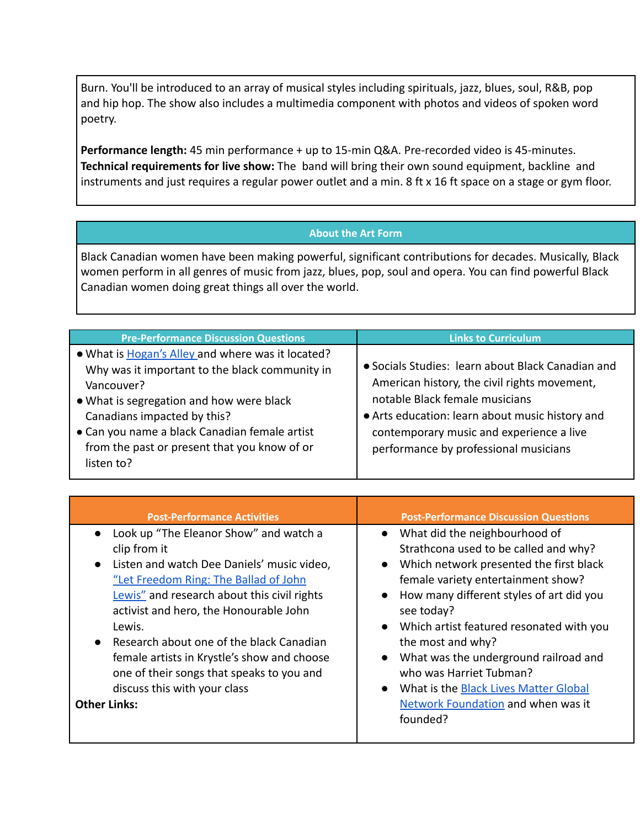Burn. You'll be introduced to an array of musical styles including spirituals, jazz, blues, soul, R&B, pop and hip hop. The show also includes a multimedia component with photos and videos of spoken word poetry.

**Performance length:** 45 min performance + up to 15-min Q&A. Pre-recorded video is 45-minutes. **Technical requirements for live show:** The band will bring their own sound equipment, backline and instruments and just requires a regular power outlet and a min. 8 ft x 16 ft space on a stage or gym floor.

## **About the Art Form**

Black Canadian women have been making powerful, significant contributions for decades. Musically, Black women perform in all genres of music from jazz, blues, pop, soul and opera. You can find powerful Black Canadian women doing great things all over the world.

| <b>Pre-Performance Discussion Questions</b>                                                                                                                                                                                                                                                                 | <b>Links to Curriculum</b>                                                                                                                                                                                                                                                  |
|-------------------------------------------------------------------------------------------------------------------------------------------------------------------------------------------------------------------------------------------------------------------------------------------------------------|-----------------------------------------------------------------------------------------------------------------------------------------------------------------------------------------------------------------------------------------------------------------------------|
| . What is Hogan's Alley and where was it located?<br>Why was it important to the black community in<br>Vancouver?<br>• What is segregation and how were black<br>Canadians impacted by this?<br>• Can you name a black Canadian female artist<br>from the past or present that you know of or<br>listen to? | • Socials Studies: learn about Black Canadian and<br>American history, the civil rights movement,<br>notable Black female musicians<br>• Arts education: learn about music history and<br>contemporary music and experience a live<br>performance by professional musicians |

| <b>Post-Performance Activities</b>                                                                                                                                                                                                                                                                                                                                                                                                                               | <b>Post-Performance Discussion Questions</b>                                                                                                                                                                                                                                                                                                                                                                                                                                                      |
|------------------------------------------------------------------------------------------------------------------------------------------------------------------------------------------------------------------------------------------------------------------------------------------------------------------------------------------------------------------------------------------------------------------------------------------------------------------|---------------------------------------------------------------------------------------------------------------------------------------------------------------------------------------------------------------------------------------------------------------------------------------------------------------------------------------------------------------------------------------------------------------------------------------------------------------------------------------------------|
| • Look up "The Eleanor Show" and watch a<br>clip from it<br>• Listen and watch Dee Daniels' music video,<br>"Let Freedom Ring: The Ballad of John<br>Lewis" and research about this civil rights<br>activist and hero, the Honourable John<br>Lewis.<br>Research about one of the black Canadian<br>$\bullet$<br>female artists in Krystle's show and choose<br>one of their songs that speaks to you and<br>discuss this with your class<br><b>Other Links:</b> | • What did the neighbourhood of<br>Strathcona used to be called and why?<br>Which network presented the first black<br>female variety entertainment show?<br>How many different styles of art did you<br>see today?<br>Which artist featured resonated with you<br>$\bullet$<br>the most and why?<br>What was the underground railroad and<br>$\bullet$<br>who was Harriet Tubman?<br>What is the <b>Black Lives Matter Global</b><br>$\bullet$<br>Network Foundation and when was it<br>founded? |